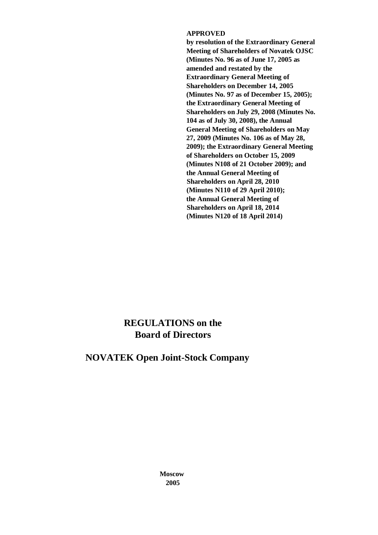#### **APPROVED**

**by resolution of the Extraordinary General Meeting of Shareholders of Novatek OJSC (Minutes No. 96 as of June 17, 2005 as amended and restated by the Extraordinary General Meeting of Shareholders on December 14, 2005 (Minutes No. 97 as of December 15, 2005); the Extraordinary General Meeting of Shareholders on July 29, 2008 (Minutes No. 104 as of July 30, 2008), the Annual General Meeting of Shareholders on May 27, 2009 (Minutes No. 106 as of May 28, 2009); the Extraordinary General Meeting of Shareholders on October 15, 2009 (Minutes N108 of 21 October 2009); and the Annual General Meeting of Shareholders on April 28, 2010 (Minutes N110 of 29 April 2010); the Annual General Meeting of Shareholders on April 18, 2014 (Minutes N120 of 18 April 2014)**

# **REGULATIONS on the Board of Directors**

# **NOVATEK Open Joint-Stock Company**

**Moscow 2005**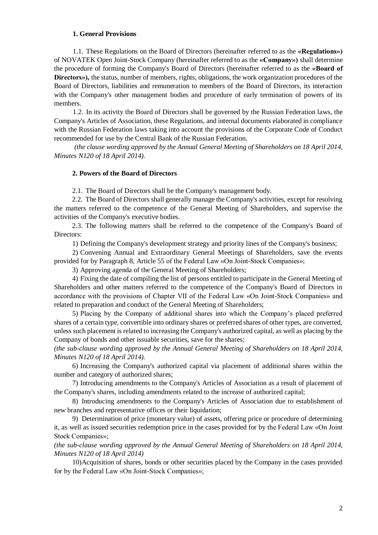#### **1. General Provisions**

1.1. These Regulations on the Board of Directors (hereinafter referred to as the **«Regulations»)**  of NOVATEK Open Joint-Stock Company (hereinafter referred to as the **«Company»)** shall determine the procedure of forming the Company's Board of Directors (hereinafter referred to as the **«Board of Directors»),** the status, number of members, rights, obligations, the work organization procedures of the Board of Directors, liabilities and remuneration to members of the Board of Directors, its interaction with the Company's other management bodies and procedure of early termination of powers of its members.

1.2. In its activity the Board of Directors shall be governed by the Russian Federation laws, the Company's Articles of Association, these Regulations, and internal documents elaborated in compliance with the Russian Federation laws taking into account the provisions of the Corporate Code of Conduct recommended for use by the Central Bank of the Russian Federation.

*(the clause wording approved by the Annual General Meeting of Shareholders on 18 April 2014, Minutes N120 of 18 April 2014).*

#### **2. Powers of the Board of Directors**

2.1. The Board of Directors shall be the Company's management body.

2.2. The Board of Directors shall generally manage the Company's activities, except for resolving the matters referred to the competence of the General Meeting of Shareholders, and supervise the activities of the Company's executive bodies.

2.3. The following matters shall be referred to the competence of the Company's Board of Directors:

1) Defining the Company's development strategy and priority lines of the Company's business;

2) Convening Annual and Extraordinary General Meetings of Shareholders, save the events provided for by Paragraph 8, Article 55 of the Federal Law «On Joint-Stock Companies»;

3) Approving agenda of the General Meeting of Shareholders;

4) Fixing the date of compiling the list of persons entitled to participate in the General Meeting of Shareholders and other matters referred to the competence of the Company's Board of Directors in accordance with the provisions of Chapter VII of the Federal Law «On Joint-Stock Companies» and related to preparation and conduct of the General Meeting of Shareholders;

5) Placing by the Company of additional shares into which the Company's placed preferred shares of a certain type, convertible into ordinary shares or preferred shares of other types, are converted, unless such placement is related to increasing the Company's authorized capital, as well as placing by the Company of bonds and other issuable securities, save for the shares;

*(the sub-clause wording approved by the Annual General Meeting of Shareholders on 18 April 2014, Minutes N120 of 18 April 2014).*

6) Increasing the Company's authorized capital via placement of additional shares within the number and category of authorized shares;

7) Introducing amendments to the Company's Articles of Association as a result of placement of the Company's shares, including amendments related to the increase of authorized capital;

8) Introducing amendments to the Company's Articles of Association due to establishment of new branches and representative offices or their liquidation;

9) Determination of price (monetary value) of assets, offering price or procedure of determining it, as well as issued securities redemption price in the cases provided for by the Federal Law «On Joint Stock Companies»;

*(the sub-clause wording approved by the Annual General Meeting of Shareholders on 18 April 2014, Minutes N120 of 18 April 2014)*

10)Acquisition of shares, bonds or other securities placed by the Company in the cases provided for by the Federal Law «On Joint-Stock Companies»;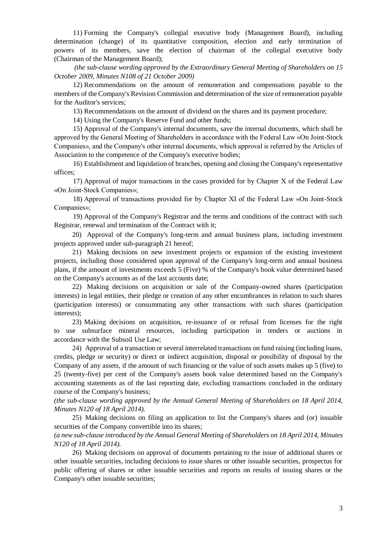11) Forming the Company's collegial executive body (Management Board), including determination (change) of its quantitative composition, election and early termination of powers of its members, save the election of chairman of the collegial executive body (Chairman of the Management Board);

*(the sub-clause wording approved by the Extraordinary General Meeting of Shareholders on 15 October 2009, Minutes N108 of 21 October 2009)*

12) Recommendations on the amount of remuneration and compensations payable to the members of the Company's Revision Commission and determination of the size of remuneration payable for the Auditor's services;

13) Recommendations on the amount of dividend on the shares and its payment procedure;

14) Using the Company's Reserve Fund and other funds;

15) Approval of the Company's internal documents, save the internal documents, which shall be approved by the General Meeting of Shareholders in accordance with the Federal Law «On Joint-Stock Companies», and the Company's other internal documents, which approval is referred by the Articles of Association to the competence of the Company's executive bodies;

16) Establishment and liquidation of branches, opening and closing the Company's representative offices;

17) Approval of major transactions in the cases provided for by Chapter Х of the Federal Law «On Joint-Stock Companies»;

18) Approval of transactions provided for by Chapter XI of the Federal Law «On Joint-Stock Companies»;

19) Approval of the Company's Registrar and the terms and conditions of the contract with such Registrar, renewal and termination of the Contract with it;

20) Approval of the Company's long-term and annual business plans, including investment projects approved under sub-paragraph 21 hereof;

21) Making decisions on new investment projects or expansion of the existing investment projects, including those considered upon approval of the Company's long-term and annual business plans, if the amount of investments exceeds 5 (Five) % of the Company's book value determined based on the Company's accounts as of the last accounts date;

22) Making decisions on acquisition or sale of the Company-owned shares (participation interests) in legal entities, their pledge or creation of any other encumbrances in relation to such shares (participation interests) or consummating any other transactions with such shares (participation interests);

23) Making decisions on acquisition, re-issuance of or refusal from licenses for the right to use subsurface mineral resources, including participation in tenders or auctions in accordance with the Subsoil Use Law;

24) Approval of a transaction or several interrelated transactions on fund raising (including loans, credits, pledge or security) or direct or indirect acquisition, disposal or possibility of disposal by the Company of any assets, if the amount of such financing or the value of such assets makes up 5 (five) to 25 (twenty-five) per cent of the Company's assets book value determined based on the Company's accounting statements as of the last reporting date, excluding transactions concluded in the ordinary course of the Company's business;

*(the sub-clause wording approved by the Annual General Meeting of Shareholders on 18 April 2014, Minutes N120 of 18 April 2014).*

25) Making decisions on filing an application to list the Company's shares and (or) issuable securities of the Company convertible into its shares;

*(a new sub-clause introduced by the Annual General Meeting of Shareholders on 18 April 2014, Minutes N120 of 18 April 2014).*

26) Making decisions on approval of documents pertaining to the issue of additional shares or other issuable securities, including decisions to issue shares or other issuable securities, prospectus for public offering of shares or other issuable securities and reports on results of issuing shares or the Company's other issuable securities;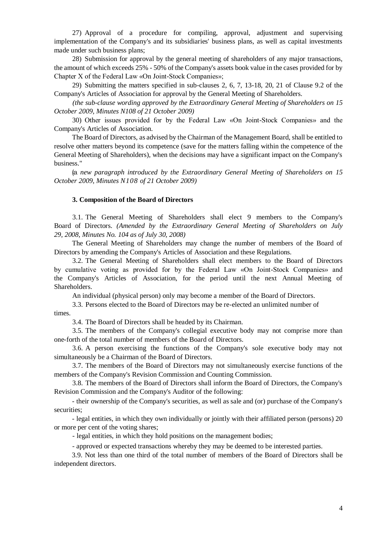27) Approval of a procedure for compiling, approval, adjustment and supervising implementation of the Company's and its subsidiaries' business plans, as well as capital investments made under such business plans;

28) Submission for approval by the general meeting of shareholders of any major transactions, the amount of which exceeds 25% - 50% of the Company's assets book value in the cases provided for by Chapter X of the Federal Law «On Joint-Stock Companies»;

29) Submitting the matters specified in sub-clauses 2, 6, 7, 13-18, 20, 21 of Clause 9.2 of the Company's Articles of Association for approval by the General Meeting of Shareholders.

*(the sub-clause wording approved by the Extraordinary General Meeting of Shareholders on 15 October 2009, Minutes N108 of 21 October 2009)*

30) Other issues provided for by the Federal Law «On Joint-Stock Companies» and the Company's Articles of Association.

The Board of Directors, as advised by the Chairman of the Management Board, shall be entitled to resolve other matters beyond its competence (save for the matters falling within the competence of the General Meeting of Shareholders), when the decisions may have a significant impact on the Company's business."

(a *new paragraph introduced by the Extraordinary General Meeting of Shareholders on 15 October 2009, Minutes N108 of 21 October 2009)*

#### **3. Composition of the Board of Directors**

3.1. The General Meeting of Shareholders shall elect 9 members to the Company's Board of Directors. *(Amended by the Extraordinary General Meeting of Shareholders on July 29, 2008, Minutes No. 104 as of July 30, 2008)*

The General Meeting of Shareholders may change the number of members of the Board of Directors by amending the Company's Articles of Association and these Regulations.

3.2. The General Meeting of Shareholders shall elect members to the Board of Directors by cumulative voting as provided for by the Federal Law «On Joint-Stock Companies» and the Company's Articles of Association, for the period until the next Annual Meeting of Shareholders.

An individual (physical person) only may become a member of the Board of Directors.

3.3. Persons elected to the Board of Directors may be re-elected an unlimited number of

times.

3.4. The Board of Directors shall be headed by its Chairman.

3.5. The members of the Company's collegial executive body may not comprise more than one-forth of the total number of members of the Board of Directors.

3.6. A person exercising the functions of the Company's sole executive body may not simultaneously be a Chairman of the Board of Directors.

3.7. The members of the Board of Directors may not simultaneously exercise functions of the members of the Company's Revision Commission and Counting Commission.

3.8. The members of the Board of Directors shall inform the Board of Directors, the Company's Revision Commission and the Company's Auditor of the following:

- their ownership of the Company's securities, as well as sale and (or) purchase of the Company's securities;

- legal entities, in which they own individually or jointly with their affiliated person (persons) 20 or more per cent of the voting shares;

- legal entities, in which they hold positions on the management bodies;

- approved or expected transactions whereby they may be deemed to be interested parties.

3.9. Not less than one third of the total number of members of the Board of Directors shall be independent directors.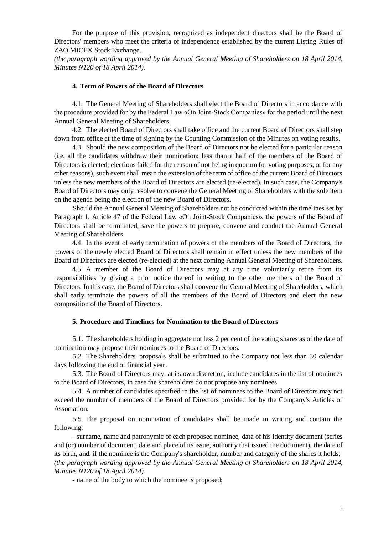For the purpose of this provision, recognized as independent directors shall be the Board of Directors' members who meet the criteria of independence established by the current Listing Rules of ZAO MICEX Stock Exchange.

*(the paragraph wording approved by the Annual General Meeting of Shareholders on 18 April 2014, Minutes N120 of 18 April 2014).*

#### **4. Term of Powers of the Board of Directors**

4.1. The General Meeting of Shareholders shall elect the Board of Directors in accordance with the procedure provided for by the Federal Law «On Joint-Stock Companies» for the period until the next Annual General Meeting of Shareholders.

4.2. The elected Board of Directors shall take office and the current Board of Directors shall step down from office at the time of signing by the Counting Commission of the Minutes on voting results.

4.3. Should the new composition of the Board of Directors not be elected for a particular reason (i.e. all the candidates withdraw their nomination; less than a half of the members of the Board of Directors is elected; elections failed for the reason of not being in quorum for voting purposes, or for any other reasons), such event shall mean the extension of the term of office of the current Board of Directors unless the new members of the Board of Directors are elected (re-elected). In such case, the Company's Board of Directors may only resolve to convene the General Meeting of Shareholders with the sole item on the agenda being the election of the new Board of Directors.

Should the Annual General Meeting of Shareholders not be conducted within the timelines set by Paragraph 1, Article 47 of the Federal Law «On Joint-Stock Companies», the powers of the Board of Directors shall be terminated, save the powers to prepare, convene and conduct the Annual General Meeting of Shareholders.

4.4. In the event of early termination of powers of the members of the Board of Directors, the powers of the newly elected Board of Directors shall remain in effect unless the new members of the Board of Directors are elected (re-elected) at the next coming Annual General Meeting of Shareholders.

4.5. A member of the Board of Directors may at any time voluntarily retire from its responsibilities by giving a prior notice thereof in writing to the other members of the Board of Directors. In this case, the Board of Directors shall convene the General Meeting of Shareholders, which shall early terminate the powers of all the members of the Board of Directors and elect the new composition of the Board of Directors.

#### **5. Procedure and Timelines for Nomination to the Board of Directors**

5.1. The shareholders holding in aggregate not less 2 per cent of the voting shares as of the date of nomination may propose their nominees to the Board of Directors.

5.2. The Shareholders' proposals shall be submitted to the Company not less than 30 calendar days following the end of financial year.

5.3. The Board of Directors may, at its own discretion, include candidates in the list of nominees to the Board of Directors, in case the shareholders do not propose any nominees.

5.4. A number of candidates specified in the list of nominees to the Board of Directors may not exceed the number of members of the Board of Directors provided for by the Company's Articles of Association.

5.5. The proposal on nomination of candidates shall be made in writing and contain the following:

- surname, name and patronymic of each proposed nominee, data of his identity document (series and (or) number of document, date and place of its issue, authority that issued the document), the date of its birth, and, if the nominee is the Company's shareholder, number and category of the shares it holds; *(the paragraph wording approved by the Annual General Meeting of Shareholders on 18 April 2014, Minutes N120 of 18 April 2014).*

- name of the body to which the nominee is proposed;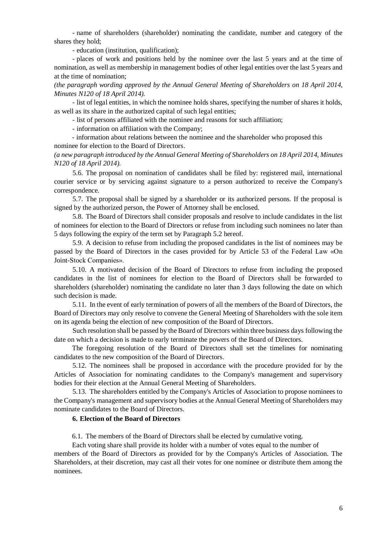- name of shareholders (shareholder) nominating the candidate, number and category of the shares they hold;

- education (institution, qualification);

- places of work and positions held by the nominee over the last 5 years and at the time of nomination, as well as membership in management bodies of other legal entities over the last 5 years and at the time of nomination;

*(the paragraph wording approved by the Annual General Meeting of Shareholders on 18 April 2014, Minutes N120 of 18 April 2014).*

- list of legal entities, in which the nominee holds shares, specifying the number of shares it holds, as well as its share in the authorized capital of such legal entities;

- list of persons affiliated with the nominee and reasons for such affiliation;

- information on affiliation with the Company;

- information about relations between the nominee and the shareholder who proposed this nominee for election to the Board of Directors.

*(a new paragraph introduced by the Annual General Meeting of Shareholders on 18 April 2014, Minutes N120 of 18 April 2014).*

5.6. The proposal on nomination of candidates shall be filed by: registered mail, international courier service or by servicing against signature to a person authorized to receive the Company's correspondence.

5.7. The proposal shall be signed by a shareholder or its authorized persons. If the proposal is signed by the authorized person, the Power of Attorney shall be enclosed.

5.8. The Board of Directors shall consider proposals and resolve to include candidates in the list of nominees for election to the Board of Directors or refuse from including such nominees no later than 5 days following the expiry of the term set by Paragraph 5.2 hereof.

5.9. A decision to refuse from including the proposed candidates in the list of nominees may be passed by the Board of Directors in the cases provided for by Article 53 of the Federal Law «On Joint-Stock Companies».

5.10. A motivated decision of the Board of Directors to refuse from including the proposed candidates in the list of nominees for election to the Board of Directors shall be forwarded to shareholders (shareholder) nominating the candidate no later than 3 days following the date on which such decision is made.

5.11. In the event of early termination of powers of all the members of the Board of Directors, the Board of Directors may only resolve to convene the General Meeting of Shareholders with the sole item on its agenda being the election of new composition of the Board of Directors.

Such resolution shall be passed by the Board of Directors within three business days following the date on which a decision is made to early terminate the powers of the Board of Directors.

The foregoing resolution of the Board of Directors shall set the timelines for nominating candidates to the new composition of the Board of Directors.

5.12. The nominees shall be proposed in accordance with the procedure provided for by the Articles of Association for nominating candidates to the Company's management and supervisory bodies for their election at the Annual General Meeting of Shareholders.

5.13. The shareholders entitled by the Company's Articles of Association to propose nominees to the Company's management and supervisory bodies at the Annual General Meeting of Shareholders may nominate candidates to the Board of Directors.

## **6. Election of the Board of Directors**

6.1. The members of the Board of Directors shall be elected by cumulative voting.

Each voting share shall provide its holder with a number of votes equal to the number of

members of the Board of Directors as provided for by the Company's Articles of Association. The Shareholders, at their discretion, may cast all their votes for one nominee or distribute them among the nominees.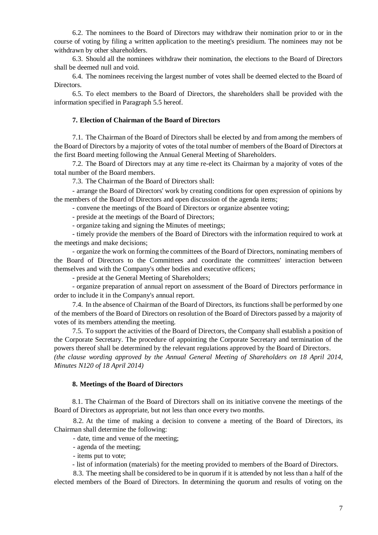6.2. The nominees to the Board of Directors may withdraw their nomination prior to or in the course of voting by filing a written application to the meeting's presidium. The nominees may not be withdrawn by other shareholders.

6.3. Should all the nominees withdraw their nomination, the elections to the Board of Directors shall be deemed null and void.

6.4. The nominees receiving the largest number of votes shall be deemed elected to the Board of Directors.

6.5. To elect members to the Board of Directors, the shareholders shall be provided with the information specified in Paragraph 5.5 hereof.

#### **7. Election of Chairman of the Board of Directors**

7.1. The Chairman of the Board of Directors shall be elected by and from among the members of the Board of Directors by a majority of votes of the total number of members of the Board of Directors at the first Board meeting following the Annual General Meeting of Shareholders.

7.2. The Board of Directors may at any time re-elect its Chairman by a majority of votes of the total number of the Board members.

7.3. The Chairman of the Board of Directors shall:

- arrange the Board of Directors' work by creating conditions for open expression of opinions by the members of the Board of Directors and open discussion of the agenda items;

- convene the meetings of the Board of Directors or organize absentee voting;

- preside at the meetings of the Board of Directors;

- organize taking and signing the Minutes of meetings;

- timely provide the members of the Board of Directors with the information required to work at the meetings and make decisions;

- organize the work on forming the committees of the Board of Directors, nominating members of the Board of Directors to the Committees and coordinate the committees' interaction between themselves and with the Company's other bodies and executive officers;

- preside at the General Meeting of Shareholders;

- organize preparation of annual report on assessment of the Board of Directors performance in order to include it in the Company's annual report.

7.4. In the absence of Chairman of the Board of Directors, its functions shall be performed by one of the members of the Board of Directors on resolution of the Board of Directors passed by a majority of votes of its members attending the meeting.

7.5. To support the activities of the Board of Directors, the Company shall establish a position of the Corporate Secretary. The procedure of appointing the Corporate Secretary and termination of the powers thereof shall be determined by the relevant regulations approved by the Board of Directors.

*(the clause wording approved by the Annual General Meeting of Shareholders on 18 April 2014, Minutes N120 of 18 April 2014)*

#### **8. Meetings of the Board of Directors**

8.1. The Chairman of the Board of Directors shall on its initiative convene the meetings of the Board of Directors as appropriate, but not less than once every two months.

8.2. At the time of making a decision to convene a meeting of the Board of Directors, its Chairman shall determine the following:

- date, time and venue of the meeting;
- agenda of the meeting;
- items put to vote;

- list of information (materials) for the meeting provided to members of the Board of Directors.

8.3. The meeting shall be considered to be in quorum if it is attended by not less than a half of the elected members of the Board of Directors. In determining the quorum and results of voting on the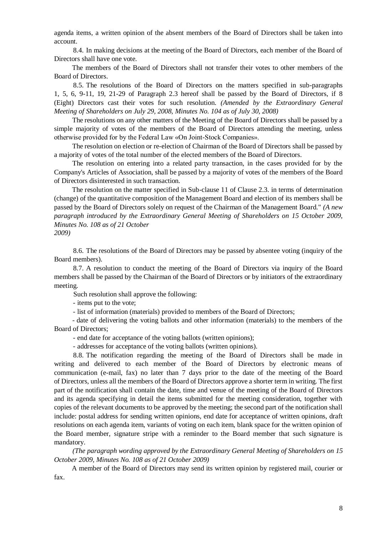agenda items, a written opinion of the absent members of the Board of Directors shall be taken into account.

8.4. In making decisions at the meeting of the Board of Directors, each member of the Board of Directors shall have one vote.

The members of the Board of Directors shall not transfer their votes to other members of the Board of Directors.

8.5. The resolutions of the Board of Directors on the matters specified in sub-paragraphs 1, 5, 6, 9-11, 19, 21-29 of Paragraph 2.3 hereof shall be passed by the Board of Directors, if 8 (Eight) Directors cast their votes for such resolution. *(Amended by the Extraordinary General Meeting of Shareholders on July 29, 2008, Minutes No. 104 as of July 30, 2008)*

The resolutions on any other matters of the Meeting of the Board of Directors shall be passed by a simple majority of votes of the members of the Board of Directors attending the meeting, unless otherwise provided for by the Federal Law «On Joint-Stock Companies».

The resolution on election or re-election of Chairman of the Board of Directors shall be passed by a majority of votes of the total number of the elected members of the Board of Directors.

The resolution on entering into a related party transaction, in the cases provided for by the Company's Articles of Association, shall be passed by a majority of votes of the members of the Board of Directors disinterested in such transaction.

The resolution on the matter specified in Sub-clause 11 of Clause 2.3. in terms of determination (change) of the quantitative composition of the Management Board and election of its members shall be passed by the Board of Directors solely on request of the Chairman of the Management Board." *(A new paragraph introduced by the Extraordinary General Meeting of Shareholders on 15 October 2009, Minutes No. 108 as of 21 October 2009)*

8.6. The resolutions of the Board of Directors may be passed by absentee voting (inquiry of the Board members).

8.7. A resolution to conduct the meeting of the Board of Directors via inquiry of the Board members shall be passed by the Chairman of the Board of Directors or by initiators of the extraordinary meeting.

Such resolution shall approve the following:

- items put to the vote;

- list of information (materials) provided to members of the Board of Directors;

- date of delivering the voting ballots and other information (materials) to the members of the Board of Directors;

- end date for acceptance of the voting ballots (written opinions);

- addresses for acceptance of the voting ballots (written opinions).

8.8. The notification regarding the meeting of the Board of Directors shall be made in writing and delivered to each member of the Board of Directors by electronic means of communication (e-mail, fax) no later than 7 days prior to the date of the meeting of the Board of Directors, unless all the members of the Board of Directors approve a shorter term in writing. The first part of the notification shall contain the date, time and venue of the meeting of the Board of Directors and its agenda specifying in detail the items submitted for the meeting consideration, together with copies of the relevant documents to be approved by the meeting; the second part of the notification shall include: postal address for sending written opinions, end date for acceptance of written opinions, draft resolutions on each agenda item, variants of voting on each item, blank space for the written opinion of the Board member, signature stripe with a reminder to the Board member that such signature is mandatory.

*(The paragraph wording approved by the Extraordinary General Meeting of Shareholders on 15 October 2009, Minutes No. 108 as of 21 October 2009)*

A member of the Board of Directors may send its written opinion by registered mail, courier or fax.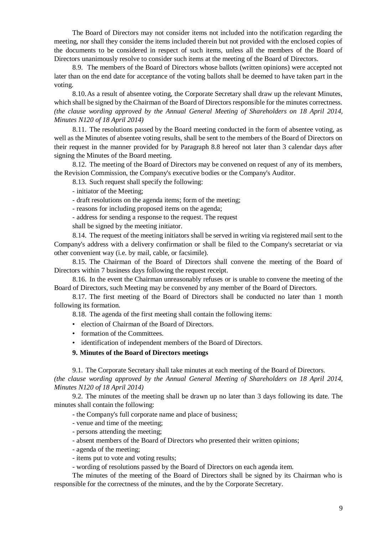The Board of Directors may not consider items not included into the notification regarding the meeting, nor shall they consider the items included therein but not provided with the enclosed copies of the documents to be considered in respect of such items, unless all the members of the Board of Directors unanimously resolve to consider such items at the meeting of the Board of Directors.

8.9. The members of the Board of Directors whose ballots (written opinions) were accepted not later than on the end date for acceptance of the voting ballots shall be deemed to have taken part in the voting.

8.10.As a result of absentee voting, the Corporate Secretary shall draw up the relevant Minutes, which shall be signed by the Chairman of the Board of Directors responsible for the minutes correctness. *(the clause wording approved by the Annual General Meeting of Shareholders on 18 April 2014, Minutes N120 of 18 April 2014)*

8.11. The resolutions passed by the Board meeting conducted in the form of absentee voting, as well as the Minutes of absentee voting results, shall be sent to the members of the Board of Directors on their request in the manner provided for by Paragraph 8.8 hereof not later than 3 calendar days after signing the Minutes of the Board meeting.

8.12. The meeting of the Board of Directors may be convened on request of any of its members, the Revision Commission, the Company's executive bodies or the Company's Auditor.

8.13. Such request shall specify the following:

- initiator of the Meeting;

- draft resolutions on the agenda items; form of the meeting;

- reasons for including proposed items on the agenda;

- address for sending a response to the request. The request

shall be signed by the meeting initiator.

8.14. The request of the meeting initiators shall be served in writing via registered mail sent to the Company's address with a delivery confirmation or shall be filed to the Company's secretariat or via other convenient way (i.e. by mail, cable, or facsimile).

8.15. The Chairman of the Board of Directors shall convene the meeting of the Board of Directors within 7 business days following the request receipt.

8.16. In the event the Chairman unreasonably refuses or is unable to convene the meeting of the Board of Directors, such Meeting may be convened by any member of the Board of Directors.

8.17. The first meeting of the Board of Directors shall be conducted no later than 1 month following its formation.

8.18. The agenda of the first meeting shall contain the following items:

- election of Chairman of the Board of Directors.
- formation of the Committees.
- identification of independent members of the Board of Directors.

## **9. Minutes of the Board of Directors meetings**

9.1. The Corporate Secretary shall take minutes at each meeting of the Board of Directors.

*(the clause wording approved by the Annual General Meeting of Shareholders on 18 April 2014, Minutes N120 of 18 April 2014)*

9.2. The minutes of the meeting shall be drawn up no later than 3 days following its date. The minutes shall contain the following:

- the Company's full corporate name and place of business;
- venue and time of the meeting;
- persons attending the meeting;
- absent members of the Board of Directors who presented their written opinions;
- agenda of the meeting;
- items put to vote and voting results;

- wording of resolutions passed by the Board of Directors on each agenda item.

The minutes of the meeting of the Board of Directors shall be signed by its Chairman who is responsible for the correctness of the minutes, and the by the Corporate Secretary.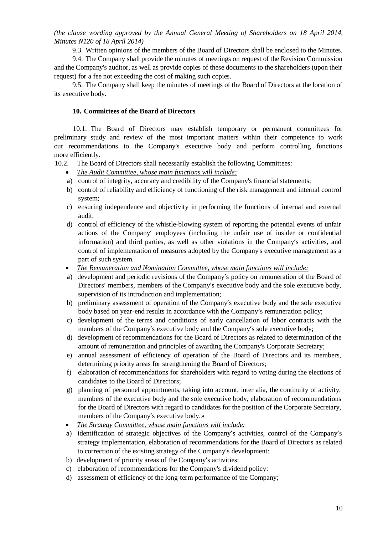*(the clause wording approved by the Annual General Meeting of Shareholders on 18 April 2014, Minutes N120 of 18 April 2014)*

9.3. Written opinions of the members of the Board of Directors shall be enclosed to the Minutes.

9.4. The Company shall provide the minutes of meetings on request of the Revision Commission and the Company's auditor, as well as provide copies of these documents to the shareholders (upon their request) for a fee not exceeding the cost of making such copies.

9.5. The Company shall keep the minutes of meetings of the Board of Directors at the location of its executive body.

## **10. Committees of the Board of Directors**

10.1. The Board of Directors may establish temporary or permanent committees for preliminary study and review of the most important matters within their competence to work out recommendations to the Company's executive body and perform controlling functions more efficiently.

- 10.2. The Board of Directors shall necessarily establish the following Committees:
	- *The Audit Committee, whose main functions will include:*
	- а) control of integrity, accuracy and credibility of the Company's financial statements;
	- b) control of reliability and efficiency of functioning of the risk management and internal control system;
	- c) ensuring independence and objectivity in performing the functions of internal and external audit;
	- d) control of efficiency of the whistle-blowing system of reporting the potential events of unfair actions of the Company' employees (including the unfair use of insider or confidential information) and third parties, as well as other violations in the Company's activities, and control of implementation of measures adopted by the Company's executive management as a part of such system.
	- *The Remuneration and Nomination Committee, whose main functions will include:*
	- а) development and periodic revisions of the Company's policy on remuneration of the Board of Directors' members, members of the Company's executive body and the sole executive body, supervision of its introduction and implementation;
	- b) preliminary assessment of operation of the Company's executive body and the sole executive body based on year-end results in accordance with the Company's remuneration policy;
	- c) development of the terms and conditions of early cancellation of labor contracts with the members of the Company's executive body and the Company's sole executive body;
	- d) development of recommendations for the Board of Directors as related to determination of the amount of remuneration and principles of awarding the Company's Corporate Secretary;
	- e) annual assessment of efficiency of operation of the Board of Directors and its members, determining priority areas for strengthening the Board of Directors;
	- f) elaboration of recommendations for shareholders with regard to voting during the elections of candidates to the Board of Directors;
	- g) planning of personnel appointments, taking into account, inter alia, the continuity of activity, members of the executive body and the sole executive body, elaboration of recommendations for the Board of Directors with regard to candidates for the position of the Corporate Secretary, members of the Company's executive body.»
	- *The Strategy Committee, whose main functions will include:*
	- а) identification of strategic objectives of the Company's activities, control of the Company's strategy implementation, elaboration of recommendations for the Board of Directors as related to correction of the existing strategy of the Company's development:
	- b) development of priority areas of the Company's activities;
	- c) elaboration of recommendations for the Company's dividend policy:
	- d) assessment of efficiency of the long-term performance of the Company;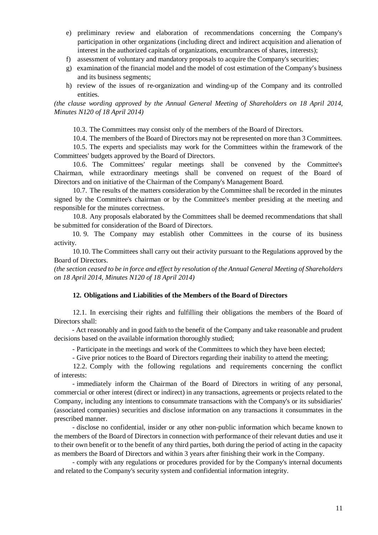- e) preliminary review and elaboration of recommendations concerning the Company's participation in other organizations (including direct and indirect acquisition and alienation of interest in the authorized capitals of organizations, encumbrances of shares, interests);
- f) assessment of voluntary and mandatory proposals to acquire the Company's securities;
- g) examination of the financial model and the model of cost estimation of the Company's business and its business segments;
- h) review of the issues of re-organization and winding-up of the Company and its controlled entities.

*(the clause wording approved by the Annual General Meeting of Shareholders on 18 April 2014, Minutes N120 of 18 April 2014)*

10.3. The Committees may consist only of the members of the Board of Directors.

10.4. The members of the Board of Directors may not be represented on more than 3 Committees.

10.5. The experts and specialists may work for the Committees within the framework of the Committees' budgets approved by the Board of Directors.

10.6. The Committees' regular meetings shall be convened by the Committee's Chairman, while extraordinary meetings shall be convened on request of the Board of Directors and on initiative of the Chairman of the Company's Management Board.

10.7. The results of the matters consideration by the Committee shall be recorded in the minutes signed by the Committee's chairman or by the Committee's member presiding at the meeting and responsible for the minutes correctness.

10.8. Any proposals elaborated by the Committees shall be deemed recommendations that shall be submitted for consideration of the Board of Directors.

10. 9. The Company may establish other Committees in the course of its business activity.

10.10. The Committees shall carry out their activity pursuant to the Regulations approved by the Board of Directors.

*(the section ceased to be in force and effect by resolution of the Annual General Meeting of Shareholders on 18 April 2014, Minutes N120 of 18 April 2014)*

## **12. Obligations and Liabilities of the Members of the Board of Directors**

12.1. In exercising their rights and fulfilling their obligations the members of the Board of Directors shall:

- Act reasonably and in good faith to the benefit of the Company and take reasonable and prudent decisions based on the available information thoroughly studied;

- Participate in the meetings and work of the Committees to which they have been elected;

- Give prior notices to the Board of Directors regarding their inability to attend the meeting;

12.2. Comply with the following regulations and requirements concerning the conflict of interests:

- immediately inform the Chairman of the Board of Directors in writing of any personal, commercial or other interest (direct or indirect) in any transactions, agreements or projects related to the Company, including any intentions to consummate transactions with the Company's or its subsidiaries' (associated companies) securities and disclose information on any transactions it consummates in the prescribed manner.

- disclose no confidential, insider or any other non-public information which became known to the members of the Board of Directors in connection with performance of their relevant duties and use it to their own benefit or to the benefit of any third parties, both during the period of acting in the capacity as members the Board of Directors and within 3 years after finishing their work in the Company.

- comply with any regulations or procedures provided for by the Company's internal documents and related to the Company's security system and confidential information integrity.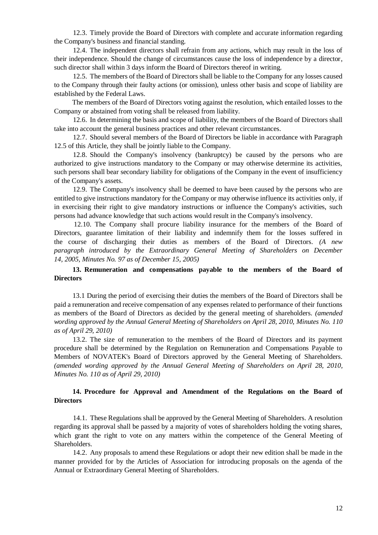12.3. Timely provide the Board of Directors with complete and accurate information regarding the Company's business and financial standing.

12.4. The independent directors shall refrain from any actions, which may result in the loss of their independence. Should the change of circumstances cause the loss of independence by a director, such director shall within 3 days inform the Board of Directors thereof in writing.

12.5. The members of the Board of Directors shall be liable to the Company for any losses caused to the Company through their faulty actions (or omission), unless other basis and scope of liability are established by the Federal Laws.

The members of the Board of Directors voting against the resolution, which entailed losses to the Company or abstained from voting shall be released from liability.

12.6. In determining the basis and scope of liability, the members of the Board of Directors shall take into account the general business practices and other relevant circumstances.

12.7. Should several members of the Board of Directors be liable in accordance with Paragraph 12.5 of this Article, they shall be jointly liable to the Company.

12.8. Should the Company's insolvency (bankruptcy) be caused by the persons who are authorized to give instructions mandatory to the Company or may otherwise determine its activities, such persons shall bear secondary liability for obligations of the Company in the event of insufficiency of the Company's assets.

12.9. The Company's insolvency shall be deemed to have been caused by the persons who are entitled to give instructions mandatory for the Company or may otherwise influence its activities only, if in exercising their right to give mandatory instructions or influence the Company's activities, such persons had advance knowledge that such actions would result in the Company's insolvency.

12.10. The Company shall procure liability insurance for the members of the Board of Directors, guarantee limitation of their liability and indemnify them for the losses suffered in the course of discharging their duties as members of the Board of Directors. *(A new paragraph introduced by the Extraordinary General Meeting of Shareholders on December 14, 2005, Minutes No. 97 as of December 15, 2005)*

## **13. Remuneration and compensations payable to the members of the Board of Directors**

13.1 During the period of exercising their duties the members of the Board of Directors shall be paid a remuneration and receive compensation of any expenses related to performance of their functions as members of the Board of Directors as decided by the general meeting of shareholders. *(amended wording approved by the Annual General Meeting of Shareholders on April 28, 2010, Minutes No. 110 as of April 29, 2010)*

13.2. The size of remuneration to the members of the Board of Directors and its payment procedure shall be determined by the Regulation on Remuneration and Compensations Payable to Members of NOVATEK's Board of Directors approved by the General Meeting of Shareholders. *(amended wording approved by the Annual General Meeting of Shareholders on April 28, 2010, Minutes No. 110 as of April 29, 2010)*

## **14. Procedure for Approval and Amendment of the Regulations on the Board of Directors**

14.1. These Regulations shall be approved by the General Meeting of Shareholders. A resolution regarding its approval shall be passed by a majority of votes of shareholders holding the voting shares, which grant the right to vote on any matters within the competence of the General Meeting of Shareholders.

14.2. Any proposals to amend these Regulations or adopt their new edition shall be made in the manner provided for by the Articles of Association for introducing proposals on the agenda of the Annual or Extraordinary General Meeting of Shareholders.